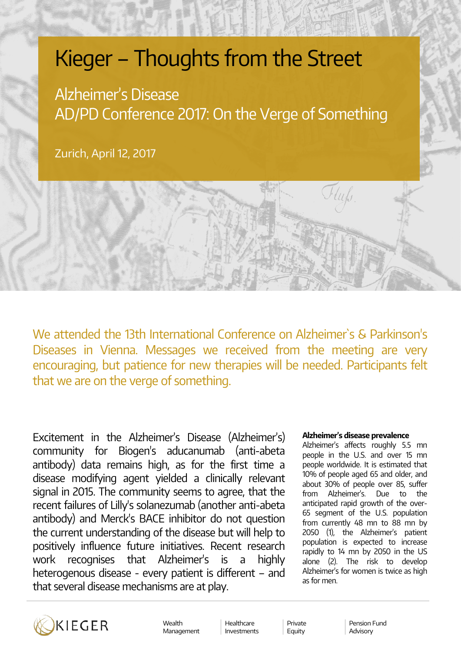# Kieger – Thoughts from the Street

Alzheimer's Disease AD/PD Conference 2017: On the Verge of Something

Zurich, April 12, 2017

We attended the 13th International Conference on Alzheimer`s & Parkinson's Diseases in Vienna. Messages we received from the meeting are very encouraging, but patience for new therapies will be needed. Participants felt that we are on the verge of something.

Excitement in the Alzheimer's Disease (Alzheimer's) community for Biogen's aducanumab (anti-abeta antibody) data remains high, as for the first time a disease modifying agent yielded a clinically relevant signal in 2015. The community seems to agree, that the recent failures of Lilly's solanezumab (another anti-abeta antibody) and Merck's BACE inhibitor do not question the current understanding of the disease but will help to positively influence future initiatives. Recent research work recognises that Alzheimer's is a highly heterogenous disease - every patient is different – and that several disease mechanisms are at play.

### **Alzheimer's disease prevalence**

Alzheimer's affects roughly 5.5 mn people in the U.S. and over 15 mn people worldwide. It is estimated that 10% of people aged 65 and older, and about 30% of people over 85, suffer from Alzheimer's. Due to the anticipated rapid growth of the over-65 segment of the U.S. population from currently 48 mn to 88 mn by 2050 (1), the Alzheimer's patient population is expected to increase rapidly to 14 mn by 2050 in the US alone (2). The risk to develop Alzheimer's for women is twice as high as for men.



Wealth Management Healthcare Investments

Private Equity

Pension Fund Advisory